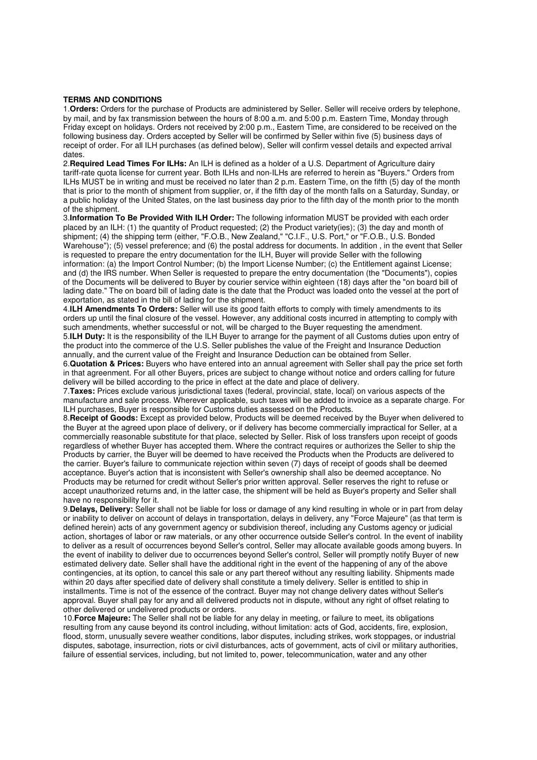## **TERMS AND CONDITIONS**

1.**Orders:** Orders for the purchase of Products are administered by Seller. Seller will receive orders by telephone, by mail, and by fax transmission between the hours of 8:00 a.m. and 5:00 p.m. Eastern Time, Monday through Friday except on holidays. Orders not received by 2:00 p.m., Eastern Time, are considered to be received on the following business day. Orders accepted by Seller will be confirmed by Seller within five (5) business days of receipt of order. For all ILH purchases (as defined below), Seller will confirm vessel details and expected arrival dates.

2.**Required Lead Times For ILHs:** An ILH is defined as a holder of a U.S. Department of Agriculture dairy tariff-rate quota license for current year. Both ILHs and non-ILHs are referred to herein as "Buyers." Orders from ILHs MUST be in writing and must be received no later than 2 p.m. Eastern Time, on the fifth (5) day of the month that is prior to the month of shipment from supplier, or, if the fifth day of the month falls on a Saturday, Sunday, or a public holiday of the United States, on the last business day prior to the fifth day of the month prior to the month of the shipment.

3.**Information To Be Provided With ILH Order:** The following information MUST be provided with each order placed by an ILH: (1) the quantity of Product requested; (2) the Product variety(ies); (3) the day and month of shipment; (4) the shipping term (either, "F.O.B., New Zealand," "C.I.F., U.S. Port," or "F.O.B., U.S. Bonded Warehouse"); (5) vessel preference; and (6) the postal address for documents. In addition , in the event that Seller is requested to prepare the entry documentation for the ILH, Buyer will provide Seller with the following information: (a) the Import Control Number; (b) the Import License Number; (c) the Entitlement against License; and (d) the IRS number. When Seller is requested to prepare the entry documentation (the "Documents"), copies of the Documents will be delivered to Buyer by courier service within eighteen (18) days after the "on board bill of lading date." The on board bill of lading date is the date that the Product was loaded onto the vessel at the port of exportation, as stated in the bill of lading for the shipment.

4.**ILH Amendments To Orders:** Seller will use its good faith efforts to comply with timely amendments to its orders up until the final closure of the vessel. However, any additional costs incurred in attempting to comply with such amendments, whether successful or not, will be charged to the Buyer requesting the amendment. 5.**ILH Duty:** It is the responsibility of the ILH Buyer to arrange for the payment of all Customs duties upon entry of the product into the commerce of the U.S. Seller publishes the value of the Freight and Insurance Deduction annually, and the current value of the Freight and Insurance Deduction can be obtained from Seller.

6.**Quotation & Prices:** Buyers who have entered into an annual agreement with Seller shall pay the price set forth in that agreenment. For all other Buyers, prices are subject to change without notice and orders calling for future delivery will be billed according to the price in effect at the date and place of delivery.

7.**Taxes:** Prices exclude various jurisdictional taxes (federal, provincial, state, local) on various aspects of the manufacture and sale process. Wherever applicable, such taxes will be added to invoice as a separate charge. For ILH purchases, Buyer is responsible for Customs duties assessed on the Products.

8.**Receipt of Goods:** Except as provided below, Products will be deemed received by the Buyer when delivered to the Buyer at the agreed upon place of delivery, or if delivery has become commercially impractical for Seller, at a commercially reasonable substitute for that place, selected by Seller. Risk of loss transfers upon receipt of goods regardless of whether Buyer has accepted them. Where the contract requires or authorizes the Seller to ship the Products by carrier, the Buyer will be deemed to have received the Products when the Products are delivered to the carrier. Buyer's failure to communicate rejection within seven (7) days of receipt of goods shall be deemed acceptance. Buyer's action that is inconsistent with Seller's ownership shall also be deemed acceptance. No Products may be returned for credit without Seller's prior written approval. Seller reserves the right to refuse or accept unauthorized returns and, in the latter case, the shipment will be held as Buyer's property and Seller shall have no responsibility for it.

9.**Delays, Delivery:** Seller shall not be liable for loss or damage of any kind resulting in whole or in part from delay or inability to deliver on account of delays in transportation, delays in delivery, any "Force Majeure" (as that term is defined herein) acts of any government agency or subdivision thereof, including any Customs agency or judicial action, shortages of labor or raw materials, or any other occurrence outside Seller's control. In the event of inability to deliver as a result of occurrences beyond Seller's control, Seller may allocate available goods among buyers. In the event of inability to deliver due to occurrences beyond Seller's control, Seller will promptly notify Buyer of new estimated delivery date. Seller shall have the additional right in the event of the happening of any of the above contingencies, at its option, to cancel this sale or any part thereof without any resulting liability. Shipments made within 20 days after specified date of delivery shall constitute a timely delivery. Seller is entitled to ship in installments. Time is not of the essence of the contract. Buyer may not change delivery dates without Seller's approval. Buyer shall pay for any and all delivered products not in dispute, without any right of offset relating to other delivered or undelivered products or orders.

10.**Force Majeure:** The Seller shall not be liable for any delay in meeting, or failure to meet, its obligations resulting from any cause beyond its control including, without limitation: acts of God, accidents, fire, explosion, flood, storm, unusually severe weather conditions, labor disputes, including strikes, work stoppages, or industrial disputes, sabotage, insurrection, riots or civil disturbances, acts of government, acts of civil or military authorities, failure of essential services, including, but not limited to, power, telecommunication, water and any other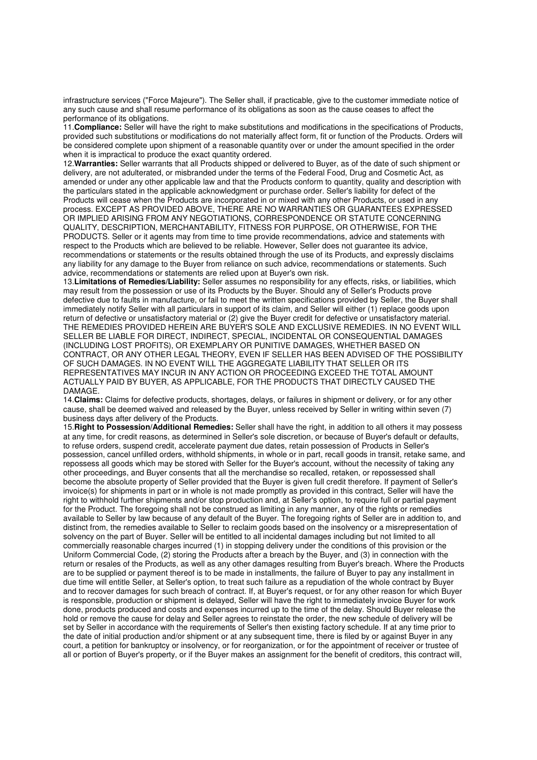infrastructure services ("Force Majeure"). The Seller shall, if practicable, give to the customer immediate notice of any such cause and shall resume performance of its obligations as soon as the cause ceases to affect the performance of its obligations.

11.**Compliance:** Seller will have the right to make substitutions and modifications in the specifications of Products, provided such substitutions or modifications do not materially affect form, fit or function of the Products. Orders will be considered complete upon shipment of a reasonable quantity over or under the amount specified in the order when it is impractical to produce the exact quantity ordered.

12.**Warranties:** Seller warrants that all Products shipped or delivered to Buyer, as of the date of such shipment or delivery, are not adulterated, or misbranded under the terms of the Federal Food, Drug and Cosmetic Act, as amended or under any other applicable law and that the Products conform to quantity, quality and description with the particulars stated in the applicable acknowledgment or purchase order. Seller's liability for defect of the Products will cease when the Products are incorporated in or mixed with any other Products, or used in any process. EXCEPT AS PROVIDED ABOVE, THERE ARE NO WARRANTIES OR GUARANTEES EXPRESSED OR IMPLIED ARISING FROM ANY NEGOTIATIONS, CORRESPONDENCE OR STATUTE CONCERNING QUALITY, DESCRIPTION, MERCHANTABILITY, FITNESS FOR PURPOSE, OR OTHERWISE, FOR THE PRODUCTS. Seller or it agents may from time to time provide recommendations, advice and statements with respect to the Products which are believed to be reliable. However, Seller does not guarantee its advice, recommendations or statements or the results obtained through the use of its Products, and expressly disclaims any liability for any damage to the Buyer from reliance on such advice, recommendations or statements. Such advice, recommendations or statements are relied upon at Buyer's own risk.

13.**Limitations of Remedies/Liability:** Seller assumes no responsibility for any effects, risks, or liabilities, which may result from the possession or use of its Products by the Buyer. Should any of Seller's Products prove defective due to faults in manufacture, or fail to meet the written specifications provided by Seller, the Buyer shall immediately notify Seller with all particulars in support of its claim, and Seller will either (1) replace goods upon return of defective or unsatisfactory material or (2) give the Buyer credit for defective or unsatisfactory material. THE REMEDIES PROVIDED HEREIN ARE BUYER'S SOLE AND EXCLUSIVE REMEDIES. IN NO EVENT WILL SELLER BE LIABLE FOR DIRECT, INDIRECT, SPECIAL, INCIDENTAL OR CONSEQUENTIAL DAMAGES (INCLUDING LOST PROFITS), OR EXEMPLARY OR PUNITIVE DAMAGES, WHETHER BASED ON CONTRACT, OR ANY OTHER LEGAL THEORY, EVEN IF SELLER HAS BEEN ADVISED OF THE POSSIBILITY OF SUCH DAMAGES. IN NO EVENT WILL THE AGGREGATE LIABILITY THAT SELLER OR ITS REPRESENTATIVES MAY INCUR IN ANY ACTION OR PROCEEDING EXCEED THE TOTAL AMOUNT ACTUALLY PAID BY BUYER, AS APPLICABLE, FOR THE PRODUCTS THAT DIRECTLY CAUSED THE DAMAGE.

14.**Claims:** Claims for defective products, shortages, delays, or failures in shipment or delivery, or for any other cause, shall be deemed waived and released by the Buyer, unless received by Seller in writing within seven (7) business days after delivery of the Products.

15.**Right to Possession/Additional Remedies:** Seller shall have the right, in addition to all others it may possess at any time, for credit reasons, as determined in Seller's sole discretion, or because of Buyer's default or defaults, to refuse orders, suspend credit, accelerate payment due dates, retain possession of Products in Seller's possession, cancel unfilled orders, withhold shipments, in whole or in part, recall goods in transit, retake same, and repossess all goods which may be stored with Seller for the Buyer's account, without the necessity of taking any other proceedings, and Buyer consents that all the merchandise so recalled, retaken, or repossessed shall become the absolute property of Seller provided that the Buyer is given full credit therefore. If payment of Seller's invoice(s) for shipments in part or in whole is not made promptly as provided in this contract, Seller will have the right to withhold further shipments and/or stop production and, at Seller's option, to require full or partial payment for the Product. The foregoing shall not be construed as limiting in any manner, any of the rights or remedies available to Seller by law because of any default of the Buyer. The foregoing rights of Seller are in addition to, and distinct from, the remedies available to Seller to reclaim goods based on the insolvency or a misrepresentation of solvency on the part of Buyer. Seller will be entitled to all incidental damages including but not limited to all commercially reasonable charges incurred (1) in stopping delivery under the conditions of this provision or the Uniform Commercial Code, (2) storing the Products after a breach by the Buyer, and (3) in connection with the return or resales of the Products, as well as any other damages resulting from Buyer's breach. Where the Products are to be supplied or payment thereof is to be made in installments, the failure of Buyer to pay any installment in due time will entitle Seller, at Seller's option, to treat such failure as a repudiation of the whole contract by Buyer and to recover damages for such breach of contract. If, at Buyer's request, or for any other reason for which Buyer is responsible, production or shipment is delayed, Seller will have the right to immediately invoice Buyer for work done, products produced and costs and expenses incurred up to the time of the delay. Should Buyer release the hold or remove the cause for delay and Seller agrees to reinstate the order, the new schedule of delivery will be set by Seller in accordance with the requirements of Seller's then existing factory schedule. If at any time prior to the date of initial production and/or shipment or at any subsequent time, there is filed by or against Buyer in any court, a petition for bankruptcy or insolvency, or for reorganization, or for the appointment of receiver or trustee of all or portion of Buyer's property, or if the Buyer makes an assignment for the benefit of creditors, this contract will,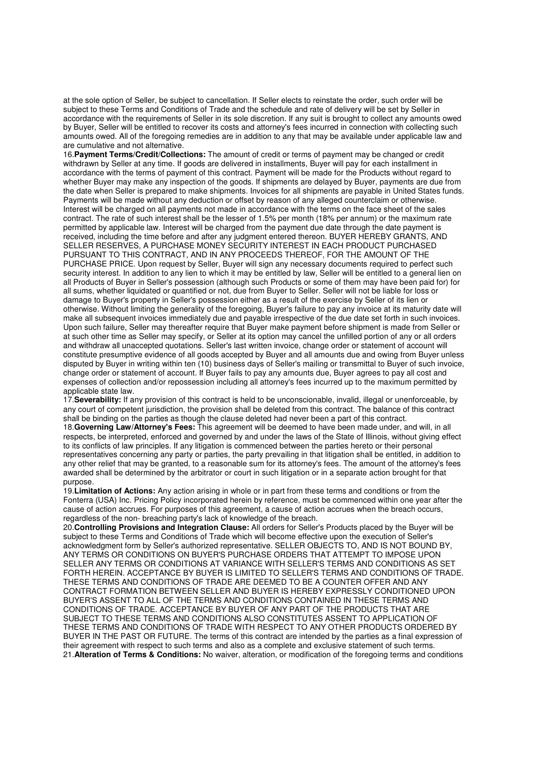at the sole option of Seller, be subject to cancellation. If Seller elects to reinstate the order, such order will be subject to these Terms and Conditions of Trade and the schedule and rate of delivery will be set by Seller in accordance with the requirements of Seller in its sole discretion. If any suit is brought to collect any amounts owed by Buyer. Seller will be entitled to recover its costs and attorney's fees incurred in connection with collecting such amounts owed. All of the foregoing remedies are in addition to any that may be available under applicable law and are cumulative and not alternative.

16.**Payment Terms/Credit/Collections:** The amount of credit or terms of payment may be changed or credit withdrawn by Seller at any time. If goods are delivered in installments, Buyer will pay for each installment in accordance with the terms of payment of this contract. Payment will be made for the Products without regard to whether Buyer may make any inspection of the goods. If shipments are delayed by Buyer, payments are due from the date when Seller is prepared to make shipments. Invoices for all shipments are payable in United States funds. Payments will be made without any deduction or offset by reason of any alleged counterclaim or otherwise. Interest will be charged on all payments not made in accordance with the terms on the face sheet of the sales contract. The rate of such interest shall be the lesser of 1.5% per month (18% per annum) or the maximum rate permitted by applicable law. Interest will be charged from the payment due date through the date payment is received, including the time before and after any judgment entered thereon. BUYER HEREBY GRANTS, AND SELLER RESERVES, A PURCHASE MONEY SECURITY INTEREST IN EACH PRODUCT PURCHASED PURSUANT TO THIS CONTRACT, AND IN ANY PROCEEDS THEREOF, FOR THE AMOUNT OF THE PURCHASE PRICE. Upon request by Seller. Buyer will sign any necessary documents required to perfect such security interest. In addition to any lien to which it may be entitled by law, Seller will be entitled to a general lien on all Products of Buyer in Seller's possession (although such Products or some of them may have been paid for) for all sums, whether liquidated or quantified or not, due from Buyer to Seller. Seller will not be liable for loss or damage to Buyer's property in Seller's possession either as a result of the exercise by Seller of its lien or otherwise. Without limiting the generality of the foregoing, Buyer's failure to pay any invoice at its maturity date will make all subsequent invoices immediately due and payable irrespective of the due date set forth in such invoices. Upon such failure, Seller may thereafter require that Buyer make payment before shipment is made from Seller or at such other time as Seller may specify, or Seller at its option may cancel the unfilled portion of any or all orders and withdraw all unaccepted quotations. Seller's last written invoice, change order or statement of account will constitute presumptive evidence of all goods accepted by Buyer and all amounts due and owing from Buyer unless disputed by Buyer in writing within ten (10) business days of Seller's mailing or transmittal to Buyer of such invoice, change order or statement of account. If Buyer fails to pay any amounts due, Buyer agrees to pay all cost and expenses of collection and/or repossession including all attorney's fees incurred up to the maximum permitted by applicable state law.

17.**Severability:** If any provision of this contract is held to be unconscionable, invalid, illegal or unenforceable, by any court of competent jurisdiction, the provision shall be deleted from this contract. The balance of this contract shall be binding on the parties as though the clause deleted had never been a part of this contract.

18.**Governing Law/Attorney's Fees:** This agreement will be deemed to have been made under, and will, in all respects, be interpreted, enforced and governed by and under the laws of the State of Illinois, without giving effect to its conflicts of law principles. If any litigation is commenced between the parties hereto or their personal representatives concerning any party or parties, the party prevailing in that litigation shall be entitled, in addition to any other relief that may be granted, to a reasonable sum for its attorney's fees. The amount of the attorney's fees awarded shall be determined by the arbitrator or court in such litigation or in a separate action brought for that purpose.

19.**Limitation of Actions:** Any action arising in whole or in part from these terms and conditions or from the Fonterra (USA) Inc. Pricing Policy incorporated herein by reference, must be commenced within one year after the cause of action accrues. For purposes of this agreement, a cause of action accrues when the breach occurs, regardless of the non- breaching party's lack of knowledge of the breach.

20.**Controlling Provisions and Integration Clause:** All orders for Seller's Products placed by the Buyer will be subject to these Terms and Conditions of Trade which will become effective upon the execution of Seller's acknowledgment form by Seller's authorized representative. SELLER OBJECTS TO, AND IS NOT BOUND BY, ANY TERMS OR CONDITIONS ON BUYER'S PURCHASE ORDERS THAT ATTEMPT TO IMPOSE UPON SELLER ANY TERMS OR CONDITIONS AT VARIANCE WITH SELLER'S TERMS AND CONDITIONS AS SET FORTH HEREIN. ACCEPTANCE BY BUYER IS LIMITED TO SELLER'S TERMS AND CONDITIONS OF TRADE. THESE TERMS AND CONDITIONS OF TRADE ARE DEEMED TO BE A COUNTER OFFER AND ANY CONTRACT FORMATION BETWEEN SELLER AND BUYER IS HEREBY EXPRESSLY CONDITIONED UPON BUYER'S ASSENT TO ALL OF THE TERMS AND CONDITIONS CONTAINED IN THESE TERMS AND CONDITIONS OF TRADE. ACCEPTANCE BY BUYER OF ANY PART OF THE PRODUCTS THAT ARE SUBJECT TO THESE TERMS AND CONDITIONS ALSO CONSTITUTES ASSENT TO APPLICATION OF THESE TERMS AND CONDITIONS OF TRADE WITH RESPECT TO ANY OTHER PRODUCTS ORDERED BY BUYER IN THE PAST OR FUTURE. The terms of this contract are intended by the parties as a final expression of their agreement with respect to such terms and also as a complete and exclusive statement of such terms. 21.**Alteration of Terms & Conditions:** No waiver, alteration, or modification of the foregoing terms and conditions